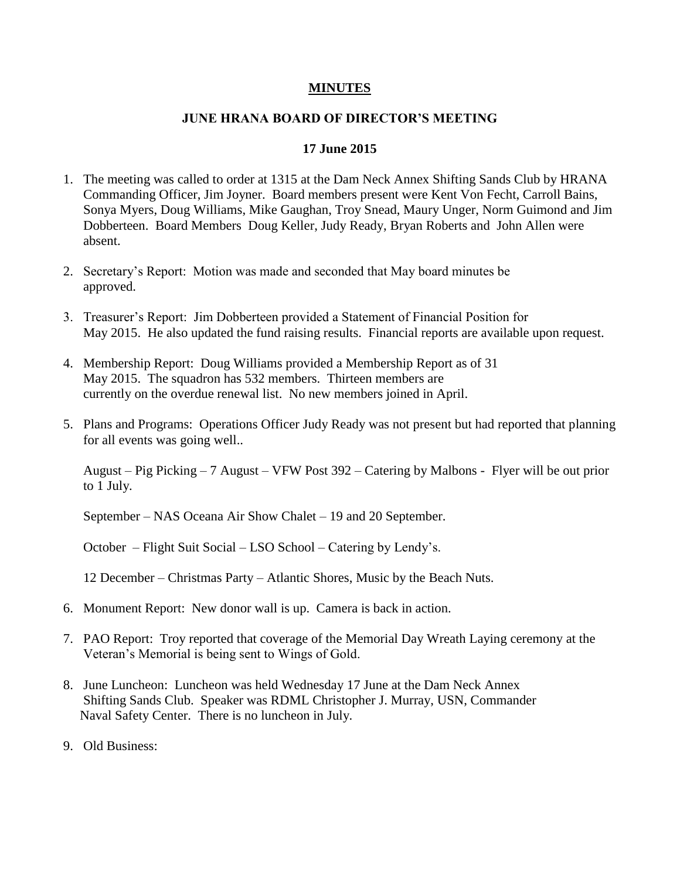## **MINUTES**

## **JUNE HRANA BOARD OF DIRECTOR'S MEETING**

## **17 June 2015**

- 1. The meeting was called to order at 1315 at the Dam Neck Annex Shifting Sands Club by HRANA Commanding Officer, Jim Joyner. Board members present were Kent Von Fecht, Carroll Bains, Sonya Myers, Doug Williams, Mike Gaughan, Troy Snead, Maury Unger, Norm Guimond and Jim Dobberteen. Board Members Doug Keller, Judy Ready, Bryan Roberts and John Allen were absent.
- 2. Secretary's Report: Motion was made and seconded that May board minutes be approved.
- 3. Treasurer's Report: Jim Dobberteen provided a Statement of Financial Position for May 2015. He also updated the fund raising results. Financial reports are available upon request.
- 4. Membership Report: Doug Williams provided a Membership Report as of 31 May 2015. The squadron has 532 members. Thirteen members are currently on the overdue renewal list. No new members joined in April.
- 5. Plans and Programs: Operations Officer Judy Ready was not present but had reported that planning for all events was going well..

August – Pig Picking – 7 August – VFW Post 392 – Catering by Malbons - Flyer will be out prior to 1 July.

September – NAS Oceana Air Show Chalet – 19 and 20 September.

October – Flight Suit Social – LSO School – Catering by Lendy's.

12 December – Christmas Party – Atlantic Shores, Music by the Beach Nuts.

- 6. Monument Report: New donor wall is up. Camera is back in action.
- 7. PAO Report: Troy reported that coverage of the Memorial Day Wreath Laying ceremony at the Veteran's Memorial is being sent to Wings of Gold.
- 8. June Luncheon: Luncheon was held Wednesday 17 June at the Dam Neck Annex Shifting Sands Club. Speaker was RDML Christopher J. Murray, USN, Commander Naval Safety Center. There is no luncheon in July.
- 9. Old Business: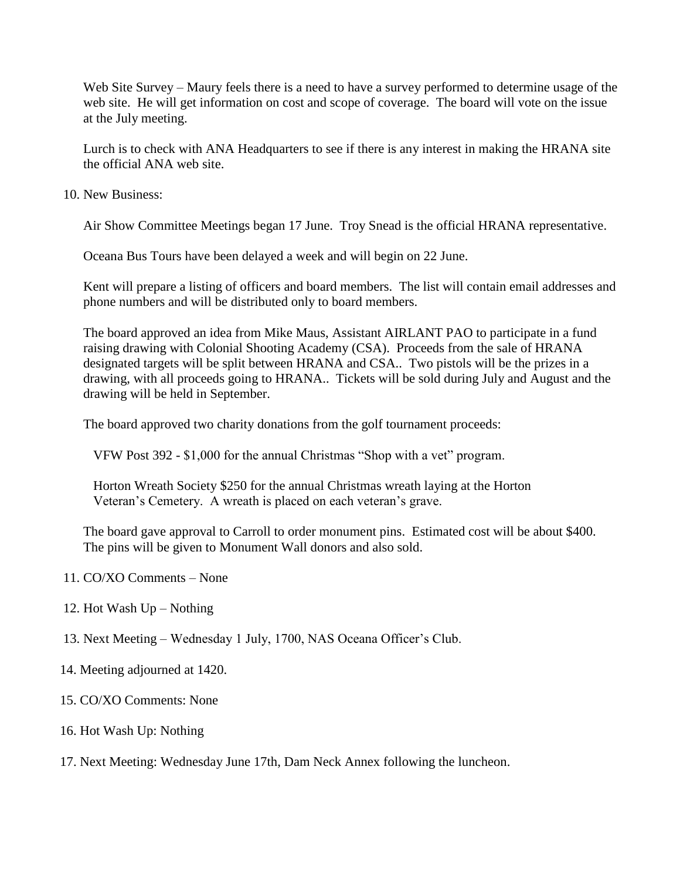Web Site Survey – Maury feels there is a need to have a survey performed to determine usage of the web site. He will get information on cost and scope of coverage. The board will vote on the issue at the July meeting.

Lurch is to check with ANA Headquarters to see if there is any interest in making the HRANA site the official ANA web site.

10. New Business:

Air Show Committee Meetings began 17 June. Troy Snead is the official HRANA representative.

Oceana Bus Tours have been delayed a week and will begin on 22 June.

Kent will prepare a listing of officers and board members. The list will contain email addresses and phone numbers and will be distributed only to board members.

The board approved an idea from Mike Maus, Assistant AIRLANT PAO to participate in a fund raising drawing with Colonial Shooting Academy (CSA). Proceeds from the sale of HRANA designated targets will be split between HRANA and CSA.. Two pistols will be the prizes in a drawing, with all proceeds going to HRANA.. Tickets will be sold during July and August and the drawing will be held in September.

The board approved two charity donations from the golf tournament proceeds:

VFW Post 392 - \$1,000 for the annual Christmas "Shop with a vet" program.

 Horton Wreath Society \$250 for the annual Christmas wreath laying at the Horton Veteran's Cemetery. A wreath is placed on each veteran's grave.

The board gave approval to Carroll to order monument pins. Estimated cost will be about \$400. The pins will be given to Monument Wall donors and also sold.

- 11. CO/XO Comments None
- 12. Hot Wash Up Nothing
- 13. Next Meeting Wednesday 1 July, 1700, NAS Oceana Officer's Club.
- 14. Meeting adjourned at 1420.
- 15. CO/XO Comments: None
- 16. Hot Wash Up: Nothing
- 17. Next Meeting: Wednesday June 17th, Dam Neck Annex following the luncheon.